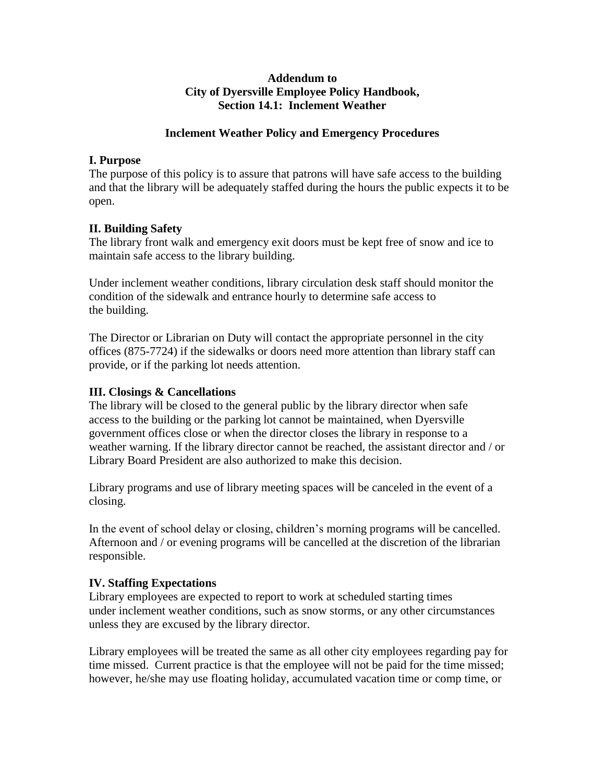#### **Addendum to City of Dyersville Employee Policy Handbook, Section 14.1: Inclement Weather**

#### **Inclement Weather Policy and Emergency Procedures**

### **I. Purpose**

The purpose of this policy is to assure that patrons will have safe access to the building and that the library will be adequately staffed during the hours the public expects it to be open.

## **II. Building Safety**

The library front walk and emergency exit doors must be kept free of snow and ice to maintain safe access to the library building.

Under inclement weather conditions, library circulation desk staff should monitor the condition of the sidewalk and entrance hourly to determine safe access to the building.

The Director or Librarian on Duty will contact the appropriate personnel in the city offices (875-7724) if the sidewalks or doors need more attention than library staff can provide, or if the parking lot needs attention.

#### **III. Closings & Cancellations**

The library will be closed to the general public by the library director when safe access to the building or the parking lot cannot be maintained, when Dyersville government offices close or when the director closes the library in response to a weather warning. If the library director cannot be reached, the assistant director and / or Library Board President are also authorized to make this decision.

Library programs and use of library meeting spaces will be canceled in the event of a closing.

In the event of school delay or closing, children's morning programs will be cancelled. Afternoon and / or evening programs will be cancelled at the discretion of the librarian responsible.

#### **IV. Staffing Expectations**

Library employees are expected to report to work at scheduled starting times under inclement weather conditions, such as snow storms, or any other circumstances unless they are excused by the library director.

Library employees will be treated the same as all other city employees regarding pay for time missed. Current practice is that the employee will not be paid for the time missed; however, he/she may use floating holiday, accumulated vacation time or comp time, or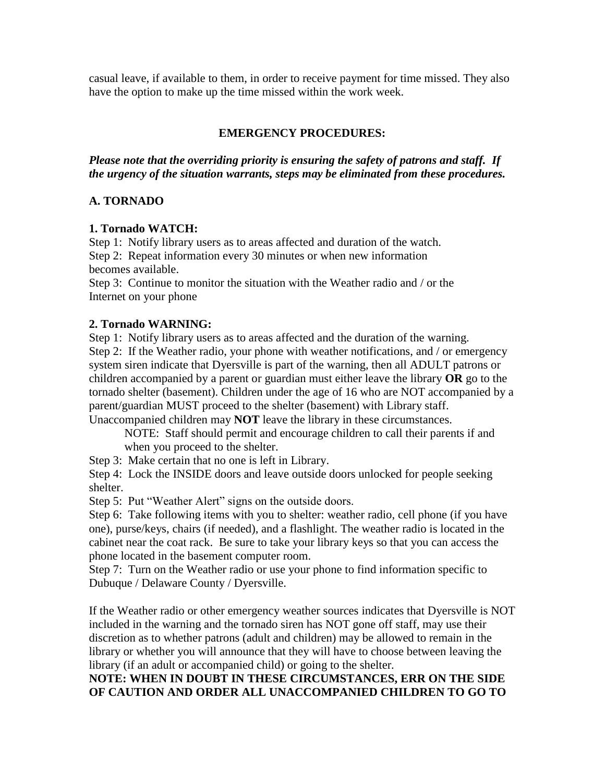casual leave, if available to them, in order to receive payment for time missed. They also have the option to make up the time missed within the work week.

# **EMERGENCY PROCEDURES:**

*Please note that the overriding priority is ensuring the safety of patrons and staff. If the urgency of the situation warrants, steps may be eliminated from these procedures.*

## **A. TORNADO**

#### **1. Tornado WATCH:**

Step 1: Notify library users as to areas affected and duration of the watch. Step 2: Repeat information every 30 minutes or when new information becomes available.

Step 3: Continue to monitor the situation with the Weather radio and / or the Internet on your phone

## **2. Tornado WARNING:**

Step 1: Notify library users as to areas affected and the duration of the warning. Step 2: If the Weather radio, your phone with weather notifications, and / or emergency system siren indicate that Dyersville is part of the warning, then all ADULT patrons or children accompanied by a parent or guardian must either leave the library **OR** go to the tornado shelter (basement). Children under the age of 16 who are NOT accompanied by a parent/guardian MUST proceed to the shelter (basement) with Library staff.

Unaccompanied children may **NOT** leave the library in these circumstances.

NOTE: Staff should permit and encourage children to call their parents if and when you proceed to the shelter.

Step 3: Make certain that no one is left in Library.

Step 4: Lock the INSIDE doors and leave outside doors unlocked for people seeking shelter.

Step 5: Put "Weather Alert" signs on the outside doors.

Step 6: Take following items with you to shelter: weather radio, cell phone (if you have one), purse/keys, chairs (if needed), and a flashlight. The weather radio is located in the cabinet near the coat rack. Be sure to take your library keys so that you can access the phone located in the basement computer room.

Step 7: Turn on the Weather radio or use your phone to find information specific to Dubuque / Delaware County / Dyersville.

If the Weather radio or other emergency weather sources indicates that Dyersville is NOT included in the warning and the tornado siren has NOT gone off staff, may use their discretion as to whether patrons (adult and children) may be allowed to remain in the library or whether you will announce that they will have to choose between leaving the library (if an adult or accompanied child) or going to the shelter*.* 

## **NOTE: WHEN IN DOUBT IN THESE CIRCUMSTANCES, ERR ON THE SIDE OF CAUTION AND ORDER ALL UNACCOMPANIED CHILDREN TO GO TO**